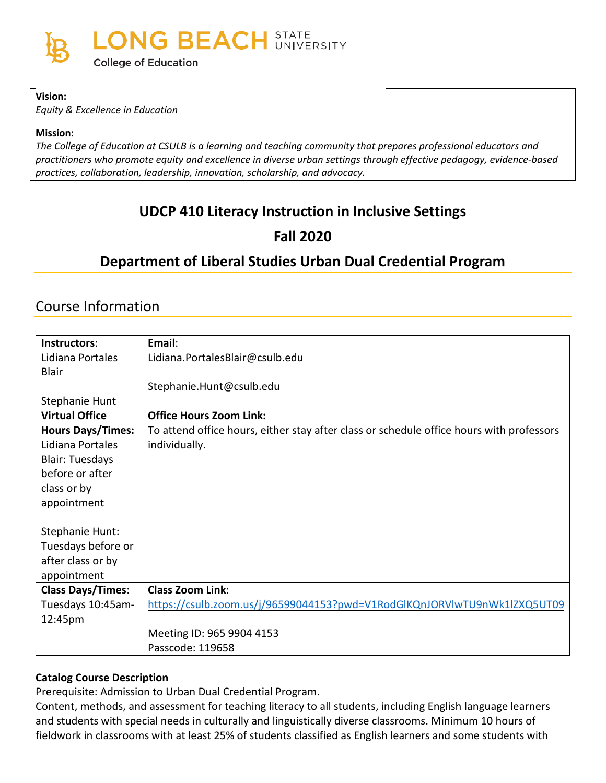

#### **Vision:**

*Equity & Excellence in Education*

#### **Mission:**

*The College of Education at CSULB is a learning and teaching community that prepares professional educators and practitioners who promote equity and excellence in diverse urban settings through effective pedagogy, evidence-based practices, collaboration, leadership, innovation, scholarship, and advocacy.*

## **UDCP 410 Literacy Instruction in Inclusive Settings**

## **Fall 2020**

## **Department of Liberal Studies Urban Dual Credential Program**

## Course Information

| Instructors:             | Email:                                                                                   |
|--------------------------|------------------------------------------------------------------------------------------|
| Lidiana Portales         | Lidiana.PortalesBlair@csulb.edu                                                          |
| Blair                    |                                                                                          |
|                          | Stephanie.Hunt@csulb.edu                                                                 |
| Stephanie Hunt           |                                                                                          |
| <b>Virtual Office</b>    | <b>Office Hours Zoom Link:</b>                                                           |
| <b>Hours Days/Times:</b> | To attend office hours, either stay after class or schedule office hours with professors |
| Lidiana Portales         | individually.                                                                            |
| <b>Blair: Tuesdays</b>   |                                                                                          |
| before or after          |                                                                                          |
| class or by              |                                                                                          |
| appointment              |                                                                                          |
|                          |                                                                                          |
| Stephanie Hunt:          |                                                                                          |
| Tuesdays before or       |                                                                                          |
| after class or by        |                                                                                          |
| appointment              |                                                                                          |
| <b>Class Days/Times:</b> | <b>Class Zoom Link:</b>                                                                  |
| Tuesdays 10:45am-        | https://csulb.zoom.us/j/96599044153?pwd=V1RodGlKQnJORVlwTU9nWk1lZXQ5UT09                 |
| 12:45pm                  |                                                                                          |
|                          | Meeting ID: 965 9904 4153                                                                |
|                          | Passcode: 119658                                                                         |

#### **Catalog Course Description**

Prerequisite: Admission to Urban Dual Credential Program.

Content, methods, and assessment for teaching literacy to all students, including English language learners and students with special needs in culturally and linguistically diverse classrooms. Minimum 10 hours of fieldwork in classrooms with at least 25% of students classified as English learners and some students with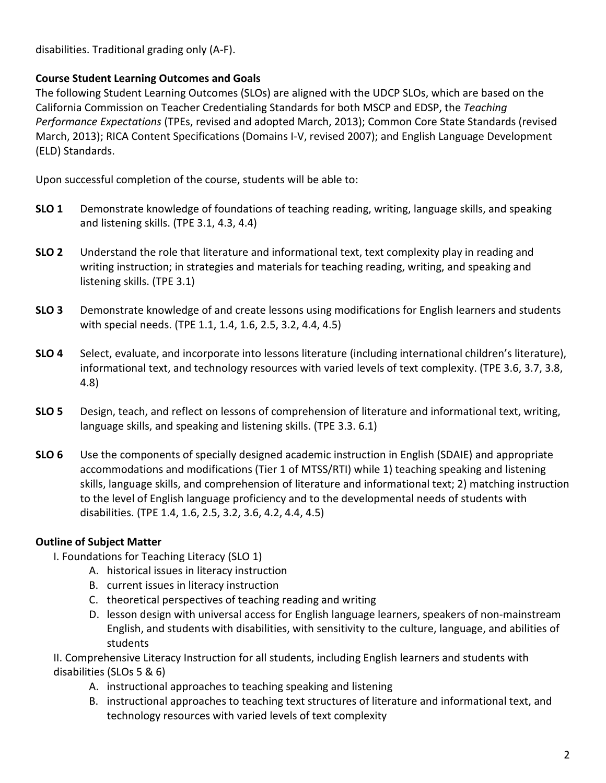disabilities. Traditional grading only (A-F).

#### **Course Student Learning Outcomes and Goals**

The following Student Learning Outcomes (SLOs) are aligned with the UDCP SLOs, which are based on the California Commission on Teacher Credentialing Standards for both MSCP and EDSP, the *Teaching Performance Expectations* (TPEs, revised and adopted March, 2013); Common Core State Standards (revised March, 2013); RICA Content Specifications (Domains I-V, revised 2007); and English Language Development (ELD) Standards.

Upon successful completion of the course, students will be able to:

- **SLO 1** Demonstrate knowledge of foundations of teaching reading, writing, language skills, and speaking and listening skills. (TPE 3.1, 4.3, 4.4)
- **SLO 2** Understand the role that literature and informational text, text complexity play in reading and writing instruction; in strategies and materials for teaching reading, writing, and speaking and listening skills. (TPE 3.1)
- **SLO 3** Demonstrate knowledge of and create lessons using modifications for English learners and students with special needs. (TPE 1.1, 1.4, 1.6, 2.5, 3.2, 4.4, 4.5)
- **SLO 4** Select, evaluate, and incorporate into lessons literature (including international children's literature), informational text, and technology resources with varied levels of text complexity. (TPE 3.6, 3.7, 3.8, 4.8)
- **SLO 5** Design, teach, and reflect on lessons of comprehension of literature and informational text, writing, language skills, and speaking and listening skills. (TPE 3.3. 6.1)
- **SLO 6** Use the components of specially designed academic instruction in English (SDAIE) and appropriate accommodations and modifications (Tier 1 of MTSS/RTI) while 1) teaching speaking and listening skills, language skills, and comprehension of literature and informational text; 2) matching instruction to the level of English language proficiency and to the developmental needs of students with disabilities. (TPE 1.4, 1.6, 2.5, 3.2, 3.6, 4.2, 4.4, 4.5)

### **Outline of Subject Matter**

- I. Foundations for Teaching Literacy (SLO 1)
	- A. historical issues in literacy instruction
	- B. current issues in literacy instruction
	- C. theoretical perspectives of teaching reading and writing
	- D. lesson design with universal access for English language learners, speakers of non-mainstream English, and students with disabilities, with sensitivity to the culture, language, and abilities of students

II. Comprehensive Literacy Instruction for all students, including English learners and students with disabilities (SLOs 5 & 6)

- A. instructional approaches to teaching speaking and listening
- B. instructional approaches to teaching text structures of literature and informational text, and technology resources with varied levels of text complexity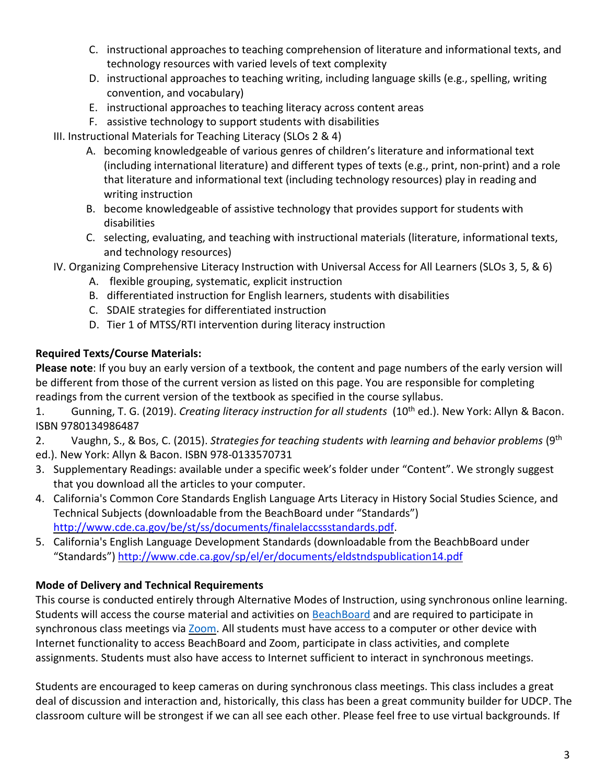- C. instructional approaches to teaching comprehension of literature and informational texts, and technology resources with varied levels of text complexity
- D. instructional approaches to teaching writing, including language skills (e.g., spelling, writing convention, and vocabulary)
- E. instructional approaches to teaching literacy across content areas
- F. assistive technology to support students with disabilities
- III. Instructional Materials for Teaching Literacy (SLOs 2 & 4)
	- A. becoming knowledgeable of various genres of children's literature and informational text (including international literature) and different types of texts (e.g., print, non-print) and a role that literature and informational text (including technology resources) play in reading and writing instruction
	- B. become knowledgeable of assistive technology that provides support for students with disabilities
	- C. selecting, evaluating, and teaching with instructional materials (literature, informational texts, and technology resources)
- IV. Organizing Comprehensive Literacy Instruction with Universal Access for All Learners (SLOs 3, 5, & 6)
	- A. flexible grouping, systematic, explicit instruction
	- B. differentiated instruction for English learners, students with disabilities
	- C. SDAIE strategies for differentiated instruction
	- D. Tier 1 of MTSS/RTI intervention during literacy instruction

## **Required Texts/Course Materials:**

**Please note**: If you buy an early version of a textbook, the content and page numbers of the early version will be different from those of the current version as listed on this page. You are responsible for completing readings from the current version of the textbook as specified in the course syllabus.

1. Gunning, T. G. (2019). *Creating literacy instruction for all students* (10th ed.). New York: Allyn & Bacon. ISBN 9780134986487

2. Vaughn, S., & Bos, C. (2015). *Strategies for teaching students with learning and behavior problems* (9th ed.). New York: Allyn & Bacon. ISBN 978-0133570731

- 3. Supplementary Readings: available under a specific week's folder under "Content". We strongly suggest that you download all the articles to your computer.
- 4. [California's Common Core Standards English Language Arts Literacy in History Social Studies Science, and](about:blank)  [Technical Subjects](about:blank) (downloadable from the BeachBoard under "Standards") [http://www.cde.ca.gov/be/st/ss/documents/finalelaccssstandards.pdf.](http://www.cde.ca.gov/be/st/ss/documents/finalelaccssstandards.pdf)
- 5. California's English Language Development Standards (downloadable from the BeachbBoard under "Standards")<http://www.cde.ca.gov/sp/el/er/documents/eldstndspublication14.pdf>

## **Mode of Delivery and Technical Requirements**

This course is conducted entirely through Alternative Modes of Instruction, using synchronous online learning. Students will access the course material and activities on **BeachBoard** and are required to participate in synchronous class meetings vi[a Zoom.](https://csulb.zoom.us/meeting) All students must have access to a computer or other device with Internet functionality to access BeachBoard and Zoom, participate in class activities, and complete assignments. Students must also have access to Internet sufficient to interact in synchronous meetings.

Students are encouraged to keep cameras on during synchronous class meetings. This class includes a great deal of discussion and interaction and, historically, this class has been a great community builder for UDCP. The classroom culture will be strongest if we can all see each other. Please feel free to use virtual backgrounds. If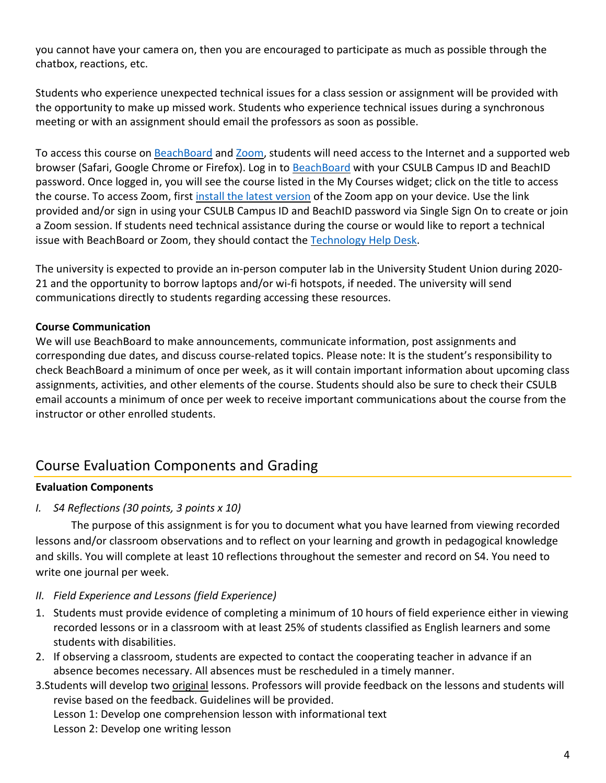you cannot have your camera on, then you are encouraged to participate as much as possible through the chatbox, reactions, etc.

Students who experience unexpected technical issues for a class session or assignment will be provided with the opportunity to make up missed work. Students who experience technical issues during a synchronous meeting or with an assignment should email the professors as soon as possible.

To access this course on BeachBoard and [Zoom,](https://csulb.zoom.us/meeting) students will need access to the Internet and a supported web browser (Safari, Google Chrome or Firefox). Log in to **BeachBoard** with your CSULB Campus ID and BeachID password. Once logged in, you will see the course listed in the My Courses widget; click on the title to access the course. To access Zoom, first [install the latest version](https://zoom.us/download) of the Zoom app on your device. Use the link provided and/or sign in using your CSULB Campus ID and BeachID password via Single Sign On to create or join a Zoom session. If students need technical assistance during the course or would like to report a technical issue with BeachBoard or Zoom, they should contact the [Technology Help Desk.](https://www.csulb.edu/academic-technology-services/academic-technology-resources-for-students)

The university is expected to provide an in-person computer lab in the University Student Union during 2020- 21 and the opportunity to borrow laptops and/or wi-fi hotspots, if needed. The university will send communications directly to students regarding accessing these resources.

#### **Course Communication**

We will use BeachBoard to make announcements, communicate information, post assignments and corresponding due dates, and discuss course-related topics. Please note: It is the student's responsibility to check BeachBoard a minimum of once per week, as it will contain important information about upcoming class assignments, activities, and other elements of the course. Students should also be sure to check their CSULB email accounts a minimum of once per week to receive important communications about the course from the instructor or other enrolled students.

# Course Evaluation Components and Grading

#### **Evaluation Components**

*I. S4 Reflections (30 points, 3 points x 10)*

The purpose of this assignment is for you to document what you have learned from viewing recorded lessons and/or classroom observations and to reflect on your learning and growth in pedagogical knowledge and skills. You will complete at least 10 reflections throughout the semester and record on S4. You need to write one journal per week.

- *II. Field Experience and Lessons (field Experience)*
- 1. Students must provide evidence of completing a minimum of 10 hours of field experience either in viewing recorded lessons or in a classroom with at least 25% of students classified as English learners and some students with disabilities.
- 2. If observing a classroom, students are expected to contact the cooperating teacher in advance if an absence becomes necessary. All absences must be rescheduled in a timely manner.
- 3.Students will develop two original lessons. Professors will provide feedback on the lessons and students will revise based on the feedback. Guidelines will be provided.

Lesson 1: Develop one comprehension lesson with informational text Lesson 2: Develop one writing lesson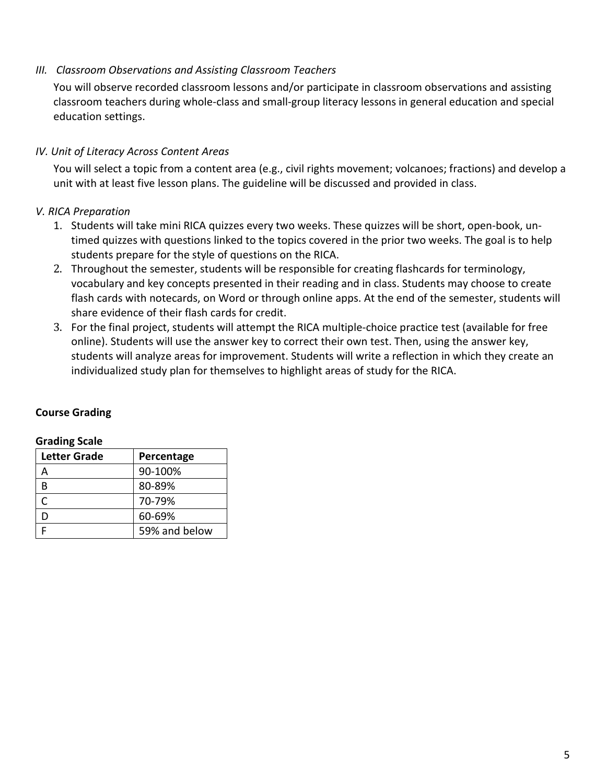#### *III. Classroom Observations and Assisting Classroom Teachers*

You will observe recorded classroom lessons and/or participate in classroom observations and assisting classroom teachers during whole-class and small-group literacy lessons in general education and special education settings.

#### *IV. Unit of Literacy Across Content Areas*

You will select a topic from a content area (e.g., civil rights movement; volcanoes; fractions) and develop a unit with at least five lesson plans. The guideline will be discussed and provided in class.

### *V. RICA Preparation*

- 1. Students will take mini RICA quizzes every two weeks. These quizzes will be short, open-book, untimed quizzes with questions linked to the topics covered in the prior two weeks. The goal is to help students prepare for the style of questions on the RICA.
- 2. Throughout the semester, students will be responsible for creating flashcards for terminology, vocabulary and key concepts presented in their reading and in class. Students may choose to create flash cards with notecards, on Word or through online apps. At the end of the semester, students will share evidence of their flash cards for credit.
- 3. For the final project, students will attempt the RICA multiple-choice practice test (available for free online). Students will use the answer key to correct their own test. Then, using the answer key, students will analyze areas for improvement. Students will write a reflection in which they create an individualized study plan for themselves to highlight areas of study for the RICA.

#### **Course Grading**

| <b>Grading Scale</b> |  |
|----------------------|--|
|----------------------|--|

| <b>Letter Grade</b> | Percentage    |
|---------------------|---------------|
| А                   | 90-100%       |
| В                   | 80-89%        |
| C                   | 70-79%        |
| D                   | 60-69%        |
| E                   | 59% and below |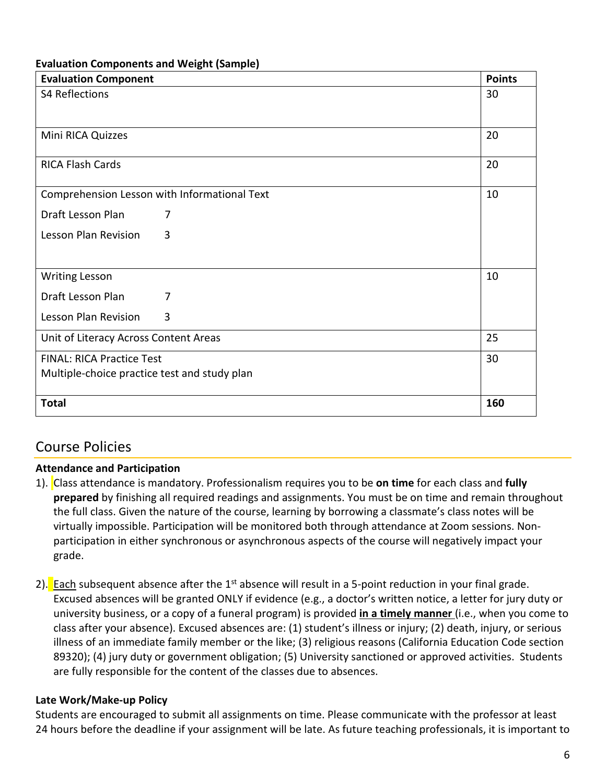#### **Evaluation Components and Weight (Sample)**

| <b>Evaluation Component</b>                  |                                              | <b>Points</b> |
|----------------------------------------------|----------------------------------------------|---------------|
| <b>S4 Reflections</b>                        |                                              | 30            |
|                                              |                                              |               |
|                                              |                                              |               |
| Mini RICA Quizzes                            |                                              | 20            |
| <b>RICA Flash Cards</b>                      |                                              | 20            |
|                                              |                                              |               |
|                                              | Comprehension Lesson with Informational Text | 10            |
| Draft Lesson Plan                            | 7                                            |               |
| Lesson Plan Revision                         | 3                                            |               |
|                                              |                                              |               |
| <b>Writing Lesson</b>                        |                                              | 10            |
| Draft Lesson Plan                            | 7                                            |               |
| Lesson Plan Revision                         | 3                                            |               |
| Unit of Literacy Across Content Areas        |                                              | 25            |
| <b>FINAL: RICA Practice Test</b>             |                                              | 30            |
| Multiple-choice practice test and study plan |                                              |               |
|                                              |                                              |               |
| <b>Total</b>                                 |                                              | 160           |

## Course Policies

#### **Attendance and Participation**

- 1). Class attendance is mandatory. Professionalism requires you to be **on time** for each class and **fully prepared** by finishing all required readings and assignments. You must be on time and remain throughout the full class. Given the nature of the course, learning by borrowing a classmate's class notes will be virtually impossible. Participation will be monitored both through attendance at Zoom sessions. Nonparticipation in either synchronous or asynchronous aspects of the course will negatively impact your grade.
- 2). Each subsequent absence after the  $1<sup>st</sup>$  absence will result in a 5-point reduction in your final grade. Excused absences will be granted ONLY if evidence (e.g., a doctor's written notice, a letter for jury duty or university business, or a copy of a funeral program) is provided **in a timely manner** (i.e., when you come to class after your absence). Excused absences are: (1) student's illness or injury; (2) death, injury, or serious illness of an immediate family member or the like; (3) religious reasons (California Education Code section 89320); (4) jury duty or government obligation; (5) University sanctioned or approved activities. Students are fully responsible for the content of the classes due to absences.

#### **Late Work/Make-up Policy**

Students are encouraged to submit all assignments on time. Please communicate with the professor at least 24 hours before the deadline if your assignment will be late. As future teaching professionals, it is important to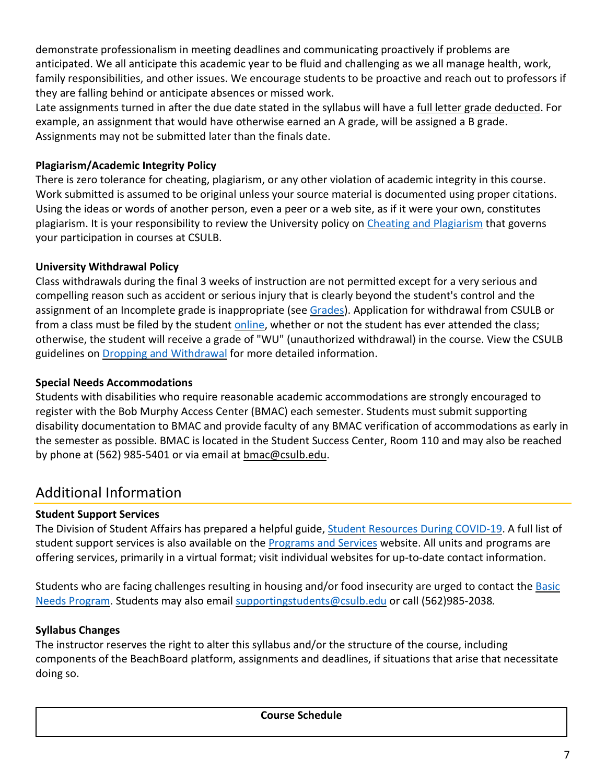demonstrate professionalism in meeting deadlines and communicating proactively if problems are anticipated. We all anticipate this academic year to be fluid and challenging as we all manage health, work, family responsibilities, and other issues. We encourage students to be proactive and reach out to professors if they are falling behind or anticipate absences or missed work.

Late assignments turned in after the due date stated in the syllabus will have a full letter grade deducted. For example, an assignment that would have otherwise earned an A grade, will be assigned a B grade. Assignments may not be submitted later than the finals date.

### **Plagiarism/Academic Integrity Policy**

There is zero tolerance for cheating, plagiarism, or any other violation of academic integrity in this course. Work submitted is assumed to be original unless your source material is documented using proper citations. Using the ideas or words of another person, even a peer or a web site, as if it were your own, constitutes plagiarism. It is your responsibility to review the University policy on [Cheating and Plagiarism](http://catalog.csulb.edu/content.php?catoid=5&navoid=369#cheating-and-plagiarism) that governs your participation in courses at CSULB.

## **University Withdrawal Policy**

Class withdrawals during the final 3 weeks of instruction are not permitted except for a very serious and compelling reason such as accident or serious injury that is clearly beyond the student's control and the assignment of an Incomplete grade is inappropriate (see [Grades\)](http://www.csulb.edu/depts/enrollment/student_academic_records/grading.html). Application for withdrawal from CSULB or from a class must be filed by the student [online,](https://www.csulb.edu/student-records/dropping-and-withdrawing) whether or not the student has ever attended the class; otherwise, the student will receive a grade of "WU" (unauthorized withdrawal) in the course. View the CSULB guidelines on [Dropping and Withdrawal](https://www.csulb.edu/student-records/dropping-and-withdrawing#:%7E:text=Policy,after%20separation%20from%20the%20university.) for more detailed information.

### **Special Needs Accommodations**

Students with disabilities who require reasonable academic accommodations are strongly encouraged to register with the Bob Murphy Access Center (BMAC) each semester. Students must submit supporting disability documentation to BMAC and provide faculty of any BMAC verification of accommodations as early in the semester as possible. BMAC is located in the Student Success Center, Room 110 and may also be reached by phone at (562) 985-5401 or via email at [bmac@csulb.edu.](mailto:bmac@csulb.edu)

# Additional Information

## **Student Support Services**

The Division of Student Affairs has prepared a helpful guide, [Student Resources During COVID-19.](https://rb.gy/ql7w8j) A full list of student support services is also available on the **Programs and Services** website. All units and programs are offering services, primarily in a virtual format; visit individual websites for up-to-date contact information.

Students who are facing challenges resulting in housing and/or food insecurity are urged to contact the **Basic** [Needs Program.](http://web.csulb.edu/divisions/students/basic_needs_program/index.html) Students may also email [supportingstudents@csulb.edu](mailto:supportingstudents@csulb.edu) or call (562)985-2038*.*

## **Syllabus Changes**

The instructor reserves the right to alter this syllabus and/or the structure of the course, including components of the BeachBoard platform, assignments and deadlines, if situations that arise that necessitate doing so.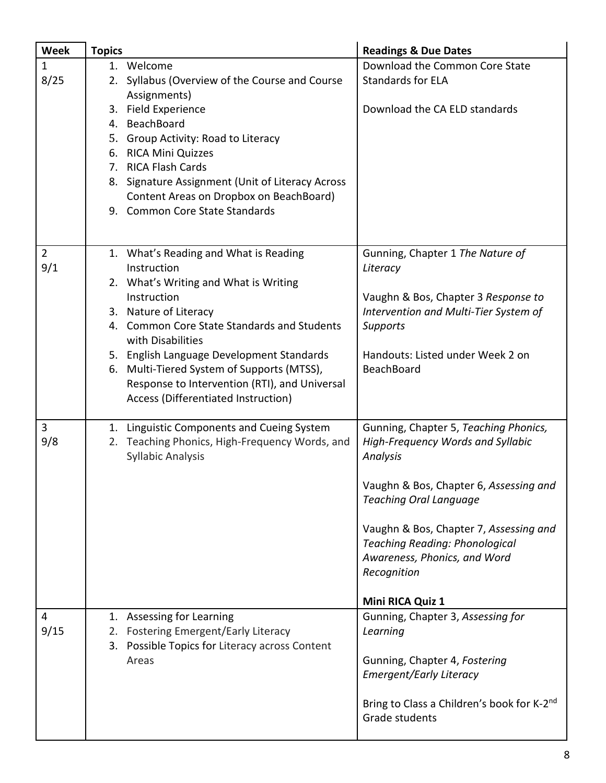| <b>Week</b>           | <b>Topics</b>                                                                                                                                                                                                                                                                                                                                                                                | <b>Readings &amp; Due Dates</b>                                                                                                                                                                                                                                                                                         |
|-----------------------|----------------------------------------------------------------------------------------------------------------------------------------------------------------------------------------------------------------------------------------------------------------------------------------------------------------------------------------------------------------------------------------------|-------------------------------------------------------------------------------------------------------------------------------------------------------------------------------------------------------------------------------------------------------------------------------------------------------------------------|
| $\mathbf{1}$<br>8/25  | 1. Welcome<br>2. Syllabus (Overview of the Course and Course<br>Assignments)<br>3. Field Experience<br>4. BeachBoard<br>5. Group Activity: Road to Literacy<br>6. RICA Mini Quizzes<br>7. RICA Flash Cards<br>8. Signature Assignment (Unit of Literacy Across<br>Content Areas on Dropbox on BeachBoard)<br>9. Common Core State Standards                                                  | Download the Common Core State<br><b>Standards for ELA</b><br>Download the CA ELD standards                                                                                                                                                                                                                             |
| $\overline{2}$<br>9/1 | 1. What's Reading and What is Reading<br>Instruction<br>2. What's Writing and What is Writing<br>Instruction<br>3. Nature of Literacy<br>4. Common Core State Standards and Students<br>with Disabilities<br>5. English Language Development Standards<br>6. Multi-Tiered System of Supports (MTSS),<br>Response to Intervention (RTI), and Universal<br>Access (Differentiated Instruction) | Gunning, Chapter 1 The Nature of<br>Literacy<br>Vaughn & Bos, Chapter 3 Response to<br>Intervention and Multi-Tier System of<br><b>Supports</b><br>Handouts: Listed under Week 2 on<br><b>BeachBoard</b>                                                                                                                |
| 3<br>9/8              | 1. Linguistic Components and Cueing System<br>2. Teaching Phonics, High-Frequency Words, and<br><b>Syllabic Analysis</b>                                                                                                                                                                                                                                                                     | Gunning, Chapter 5, Teaching Phonics,<br>High-Frequency Words and Syllabic<br>Analysis<br>Vaughn & Bos, Chapter 6, Assessing and<br><b>Teaching Oral Language</b><br>Vaughn & Bos, Chapter 7, Assessing and<br><b>Teaching Reading: Phonological</b><br>Awareness, Phonics, and Word<br>Recognition<br>Mini RICA Quiz 1 |
| 4<br>9/15             | 1. Assessing for Learning<br>2. Fostering Emergent/Early Literacy<br>3. Possible Topics for Literacy across Content<br>Areas                                                                                                                                                                                                                                                                 | Gunning, Chapter 3, Assessing for<br>Learning<br>Gunning, Chapter 4, Fostering<br><b>Emergent/Early Literacy</b><br>Bring to Class a Children's book for K-2 <sup>nd</sup><br>Grade students                                                                                                                            |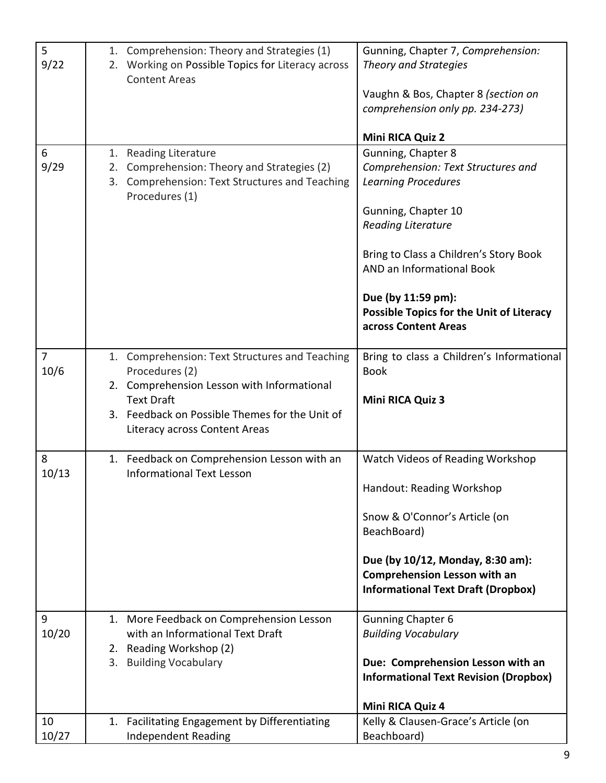| 5              | 1. Comprehension: Theory and Strategies (1)       | Gunning, Chapter 7, Comprehension:              |
|----------------|---------------------------------------------------|-------------------------------------------------|
| 9/22           | 2. Working on Possible Topics for Literacy across | <b>Theory and Strategies</b>                    |
|                | <b>Content Areas</b>                              |                                                 |
|                |                                                   | Vaughn & Bos, Chapter 8 (section on             |
|                |                                                   | comprehension only pp. 234-273)                 |
|                |                                                   |                                                 |
|                |                                                   | Mini RICA Quiz 2                                |
| 6              | 1. Reading Literature                             | Gunning, Chapter 8                              |
| 9/29           | 2. Comprehension: Theory and Strategies (2)       | Comprehension: Text Structures and              |
|                | 3. Comprehension: Text Structures and Teaching    | <b>Learning Procedures</b>                      |
|                | Procedures (1)                                    |                                                 |
|                |                                                   | Gunning, Chapter 10                             |
|                |                                                   | <b>Reading Literature</b>                       |
|                |                                                   |                                                 |
|                |                                                   | Bring to Class a Children's Story Book          |
|                |                                                   | AND an Informational Book                       |
|                |                                                   |                                                 |
|                |                                                   | Due (by 11:59 pm):                              |
|                |                                                   | <b>Possible Topics for the Unit of Literacy</b> |
|                |                                                   | across Content Areas                            |
|                |                                                   |                                                 |
| $\overline{7}$ | 1. Comprehension: Text Structures and Teaching    | Bring to class a Children's Informational       |
| 10/6           | Procedures (2)                                    | <b>Book</b>                                     |
|                | 2. Comprehension Lesson with Informational        |                                                 |
|                | <b>Text Draft</b>                                 | Mini RICA Quiz 3                                |
|                | 3. Feedback on Possible Themes for the Unit of    |                                                 |
|                | Literacy across Content Areas                     |                                                 |
|                |                                                   |                                                 |
| 8              | 1. Feedback on Comprehension Lesson with an       | Watch Videos of Reading Workshop                |
| 10/13          | <b>Informational Text Lesson</b>                  |                                                 |
|                |                                                   | Handout: Reading Workshop                       |
|                |                                                   |                                                 |
|                |                                                   | Snow & O'Connor's Article (on                   |
|                |                                                   | BeachBoard)                                     |
|                |                                                   |                                                 |
|                |                                                   | Due (by 10/12, Monday, 8:30 am):                |
|                |                                                   | <b>Comprehension Lesson with an</b>             |
|                |                                                   | <b>Informational Text Draft (Dropbox)</b>       |
| 9              | 1. More Feedback on Comprehension Lesson          | <b>Gunning Chapter 6</b>                        |
| 10/20          | with an Informational Text Draft                  | <b>Building Vocabulary</b>                      |
|                | 2. Reading Workshop (2)                           |                                                 |
|                | 3. Building Vocabulary                            | Due: Comprehension Lesson with an               |
|                |                                                   | <b>Informational Text Revision (Dropbox)</b>    |
|                |                                                   |                                                 |
|                |                                                   | Mini RICA Quiz 4                                |
| 10             | 1. Facilitating Engagement by Differentiating     | Kelly & Clausen-Grace's Article (on             |
| 10/27          | <b>Independent Reading</b>                        | Beachboard)                                     |
|                |                                                   |                                                 |